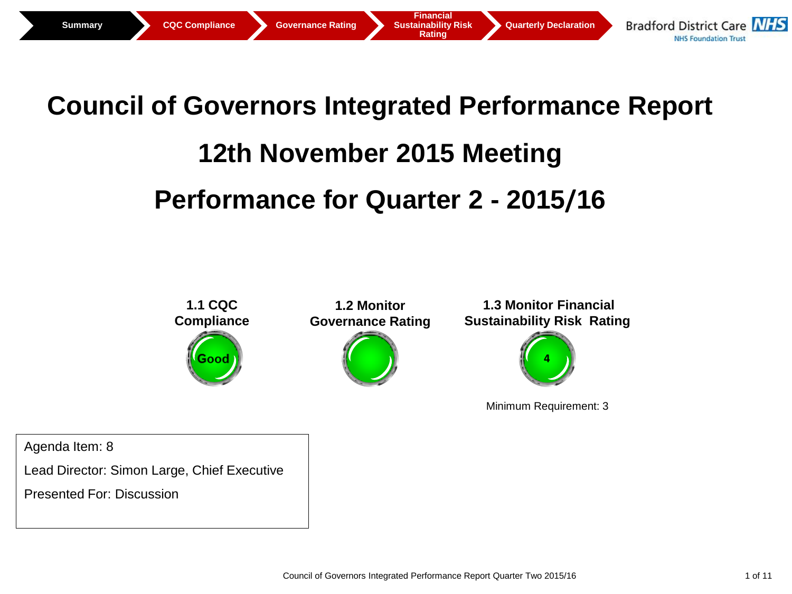

## **Council of Governors Integrated Performance Report**

# **12th November 2015 Meeting**

# **Performance for Quarter 2 - 2015/16**



Minimum Requirement: 3

Agenda Item: 8

Lead Director: Simon Large, Chief Executive

Presented For: Discussion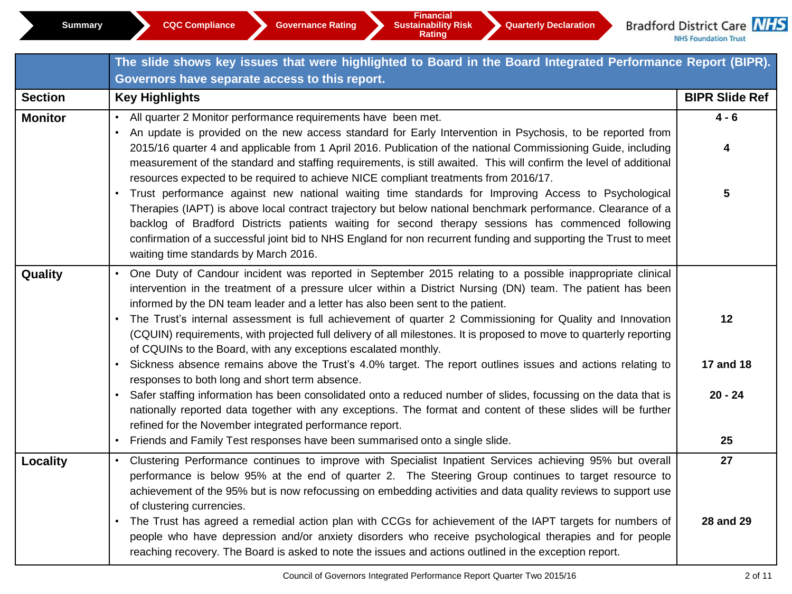|                | The slide shows key issues that were highlighted to Board in the Board Integrated Performance Report (BIPR).                                                                                                                                                                                                                                                                                                                                                                                                                                                                                                                                                                                                                                                                                                                                                                                                                                                                                           |                              |  |  |  |  |  |  |  |
|----------------|--------------------------------------------------------------------------------------------------------------------------------------------------------------------------------------------------------------------------------------------------------------------------------------------------------------------------------------------------------------------------------------------------------------------------------------------------------------------------------------------------------------------------------------------------------------------------------------------------------------------------------------------------------------------------------------------------------------------------------------------------------------------------------------------------------------------------------------------------------------------------------------------------------------------------------------------------------------------------------------------------------|------------------------------|--|--|--|--|--|--|--|
|                | Governors have separate access to this report.                                                                                                                                                                                                                                                                                                                                                                                                                                                                                                                                                                                                                                                                                                                                                                                                                                                                                                                                                         |                              |  |  |  |  |  |  |  |
| <b>Section</b> | <b>Key Highlights</b>                                                                                                                                                                                                                                                                                                                                                                                                                                                                                                                                                                                                                                                                                                                                                                                                                                                                                                                                                                                  | <b>BIPR Slide Ref</b>        |  |  |  |  |  |  |  |
| <b>Monitor</b> | All quarter 2 Monitor performance requirements have been met.<br>• An update is provided on the new access standard for Early Intervention in Psychosis, to be reported from<br>2015/16 quarter 4 and applicable from 1 April 2016. Publication of the national Commissioning Guide, including<br>measurement of the standard and staffing requirements, is still awaited. This will confirm the level of additional<br>resources expected to be required to achieve NICE compliant treatments from 2016/17.<br>Trust performance against new national waiting time standards for Improving Access to Psychological<br>Therapies (IAPT) is above local contract trajectory but below national benchmark performance. Clearance of a<br>backlog of Bradford Districts patients waiting for second therapy sessions has commenced following<br>confirmation of a successful joint bid to NHS England for non recurrent funding and supporting the Trust to meet<br>waiting time standards by March 2016. | $4 - 6$<br>4<br>5            |  |  |  |  |  |  |  |
| Quality        | • One Duty of Candour incident was reported in September 2015 relating to a possible inappropriate clinical<br>intervention in the treatment of a pressure ulcer within a District Nursing (DN) team. The patient has been<br>informed by the DN team leader and a letter has also been sent to the patient.<br>• The Trust's internal assessment is full achievement of quarter 2 Commissioning for Quality and Innovation<br>(CQUIN) requirements, with projected full delivery of all milestones. It is proposed to move to quarterly reporting<br>of CQUINs to the Board, with any exceptions escalated monthly.<br>• Sickness absence remains above the Trust's 4.0% target. The report outlines issues and actions relating to<br>responses to both long and short term absence.<br>• Safer staffing information has been consolidated onto a reduced number of slides, focussing on the data that is                                                                                            | 12<br>17 and 18<br>$20 - 24$ |  |  |  |  |  |  |  |
|                | nationally reported data together with any exceptions. The format and content of these slides will be further<br>refined for the November integrated performance report.<br>• Friends and Family Test responses have been summarised onto a single slide.                                                                                                                                                                                                                                                                                                                                                                                                                                                                                                                                                                                                                                                                                                                                              | 25                           |  |  |  |  |  |  |  |
| Locality       | • Clustering Performance continues to improve with Specialist Inpatient Services achieving 95% but overall<br>performance is below 95% at the end of quarter 2. The Steering Group continues to target resource to<br>achievement of the 95% but is now refocussing on embedding activities and data quality reviews to support use<br>of clustering currencies.<br>• The Trust has agreed a remedial action plan with CCGs for achievement of the IAPT targets for numbers of<br>people who have depression and/or anxiety disorders who receive psychological therapies and for people<br>reaching recovery. The Board is asked to note the issues and actions outlined in the exception report.                                                                                                                                                                                                                                                                                                     | 27<br>28 and 29              |  |  |  |  |  |  |  |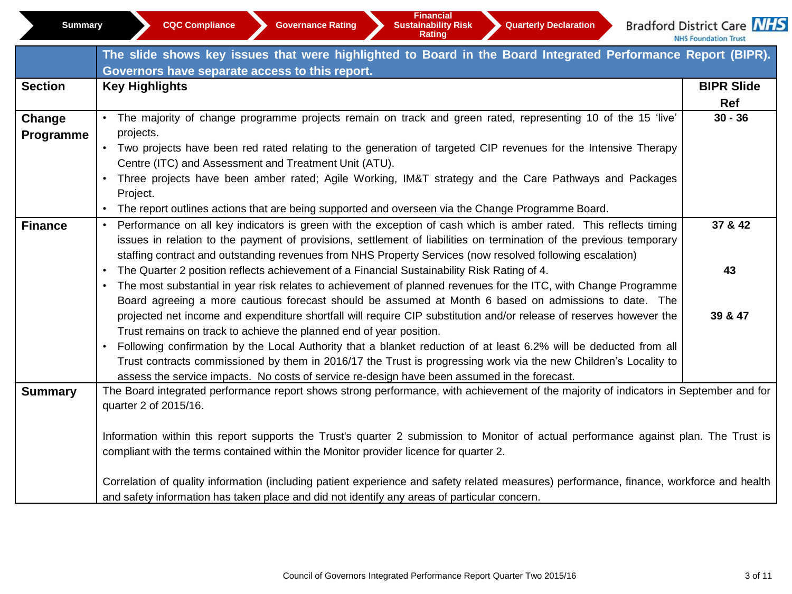| Summai |
|--------|
|        |

**Financial** 

**Rating** 

Bradford District Care NHS

NHS Foundation Trust

|                | The slide shows key issues that were highlighted to Board in the Board Integrated Performance Report (BIPR).                             |                   |
|----------------|------------------------------------------------------------------------------------------------------------------------------------------|-------------------|
|                | Governors have separate access to this report.                                                                                           |                   |
| <b>Section</b> | <b>Key Highlights</b>                                                                                                                    | <b>BIPR Slide</b> |
|                |                                                                                                                                          | Ref               |
| Change         | The majority of change programme projects remain on track and green rated, representing 10 of the 15 'live'                              | $30 - 36$         |
| Programme      | projects.                                                                                                                                |                   |
|                | Two projects have been red rated relating to the generation of targeted CIP revenues for the Intensive Therapy                           |                   |
|                | Centre (ITC) and Assessment and Treatment Unit (ATU).                                                                                    |                   |
|                | Three projects have been amber rated; Agile Working, IM&T strategy and the Care Pathways and Packages                                    |                   |
|                | Project.                                                                                                                                 |                   |
|                | The report outlines actions that are being supported and overseen via the Change Programme Board.                                        |                   |
| <b>Finance</b> | Performance on all key indicators is green with the exception of cash which is amber rated. This reflects timing<br>$\bullet$            | 37 & 42           |
|                | issues in relation to the payment of provisions, settlement of liabilities on termination of the previous temporary                      |                   |
|                | staffing contract and outstanding revenues from NHS Property Services (now resolved following escalation)                                |                   |
|                | The Quarter 2 position reflects achievement of a Financial Sustainability Risk Rating of 4.                                              | 43                |
|                | The most substantial in year risk relates to achievement of planned revenues for the ITC, with Change Programme                          |                   |
|                | Board agreeing a more cautious forecast should be assumed at Month 6 based on admissions to date. The                                    |                   |
|                | projected net income and expenditure shortfall will require CIP substitution and/or release of reserves however the                      | 39 & 47           |
|                | Trust remains on track to achieve the planned end of year position.                                                                      |                   |
|                | Following confirmation by the Local Authority that a blanket reduction of at least 6.2% will be deducted from all                        |                   |
|                | Trust contracts commissioned by them in 2016/17 the Trust is progressing work via the new Children's Locality to                         |                   |
|                | assess the service impacts. No costs of service re-design have been assumed in the forecast.                                             |                   |
| <b>Summary</b> | The Board integrated performance report shows strong performance, with achievement of the majority of indicators in September and for    |                   |
|                | quarter 2 of 2015/16.                                                                                                                    |                   |
|                |                                                                                                                                          |                   |
|                | Information within this report supports the Trust's quarter 2 submission to Monitor of actual performance against plan. The Trust is     |                   |
|                | compliant with the terms contained within the Monitor provider licence for quarter 2.                                                    |                   |
|                |                                                                                                                                          |                   |
|                | Correlation of quality information (including patient experience and safety related measures) performance, finance, workforce and health |                   |
|                | and safety information has taken place and did not identify any areas of particular concern.                                             |                   |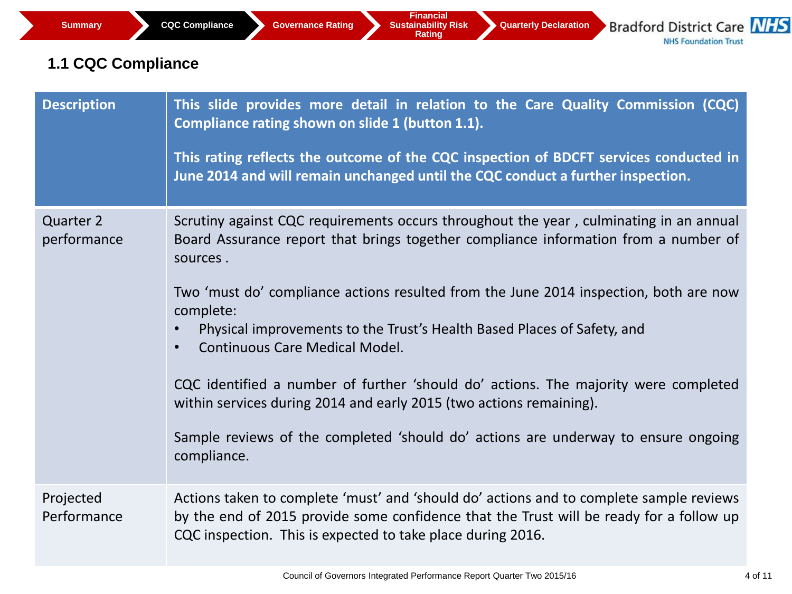### **1.1 CQC Compliance**

| <b>Description</b>              | This slide provides more detail in relation to the Care Quality Commission (CQC)<br>Compliance rating shown on slide 1 (button 1.1).<br>This rating reflects the outcome of the CQC inspection of BDCFT services conducted in<br>June 2014 and will remain unchanged until the CQC conduct a further inspection.                                                                                                                                                                                                                                                                                                                                                                                    |
|---------------------------------|-----------------------------------------------------------------------------------------------------------------------------------------------------------------------------------------------------------------------------------------------------------------------------------------------------------------------------------------------------------------------------------------------------------------------------------------------------------------------------------------------------------------------------------------------------------------------------------------------------------------------------------------------------------------------------------------------------|
| <b>Quarter 2</b><br>performance | Scrutiny against CQC requirements occurs throughout the year, culminating in an annual<br>Board Assurance report that brings together compliance information from a number of<br>sources.<br>Two 'must do' compliance actions resulted from the June 2014 inspection, both are now<br>complete:<br>Physical improvements to the Trust's Health Based Places of Safety, and<br><b>Continuous Care Medical Model.</b><br>$\bullet$<br>CQC identified a number of further 'should do' actions. The majority were completed<br>within services during 2014 and early 2015 (two actions remaining).<br>Sample reviews of the completed 'should do' actions are underway to ensure ongoing<br>compliance. |
| Projected<br>Performance        | Actions taken to complete 'must' and 'should do' actions and to complete sample reviews<br>by the end of 2015 provide some confidence that the Trust will be ready for a follow up<br>CQC inspection. This is expected to take place during 2016.                                                                                                                                                                                                                                                                                                                                                                                                                                                   |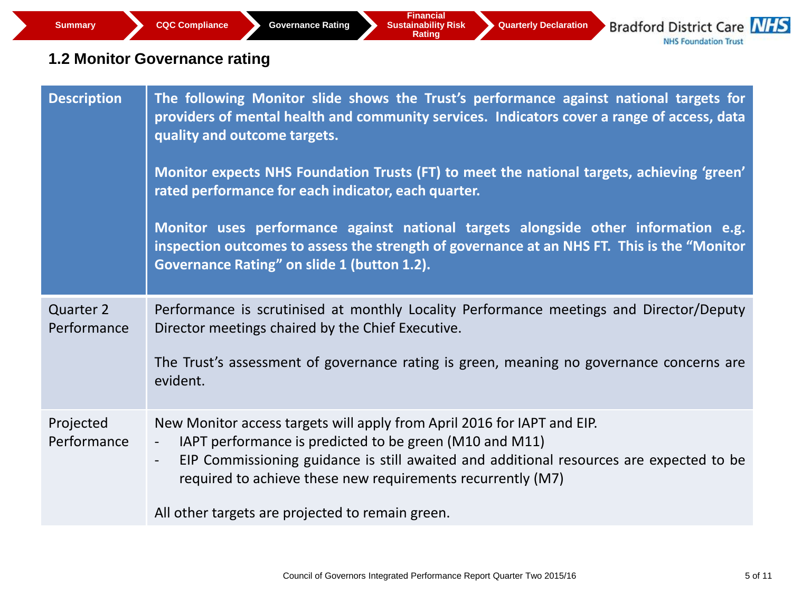### **1.2 Monitor Governance rating**

| <b>Description</b>       | The following Monitor slide shows the Trust's performance against national targets for<br>providers of mental health and community services. Indicators cover a range of access, data<br>quality and outcome targets.<br>Monitor expects NHS Foundation Trusts (FT) to meet the national targets, achieving 'green'<br>rated performance for each indicator, each quarter.<br>Monitor uses performance against national targets alongside other information e.g.<br>inspection outcomes to assess the strength of governance at an NHS FT. This is the "Monitor<br><b>Governance Rating" on slide 1 (button 1.2).</b> |
|--------------------------|-----------------------------------------------------------------------------------------------------------------------------------------------------------------------------------------------------------------------------------------------------------------------------------------------------------------------------------------------------------------------------------------------------------------------------------------------------------------------------------------------------------------------------------------------------------------------------------------------------------------------|
| Quarter 2<br>Performance | Performance is scrutinised at monthly Locality Performance meetings and Director/Deputy<br>Director meetings chaired by the Chief Executive.<br>The Trust's assessment of governance rating is green, meaning no governance concerns are<br>evident.                                                                                                                                                                                                                                                                                                                                                                  |
| Projected<br>Performance | New Monitor access targets will apply from April 2016 for IAPT and EIP.<br>IAPT performance is predicted to be green (M10 and M11)<br>$\overline{\phantom{a}}$<br>EIP Commissioning guidance is still awaited and additional resources are expected to be<br>required to achieve these new requirements recurrently (M7)<br>All other targets are projected to remain green.                                                                                                                                                                                                                                          |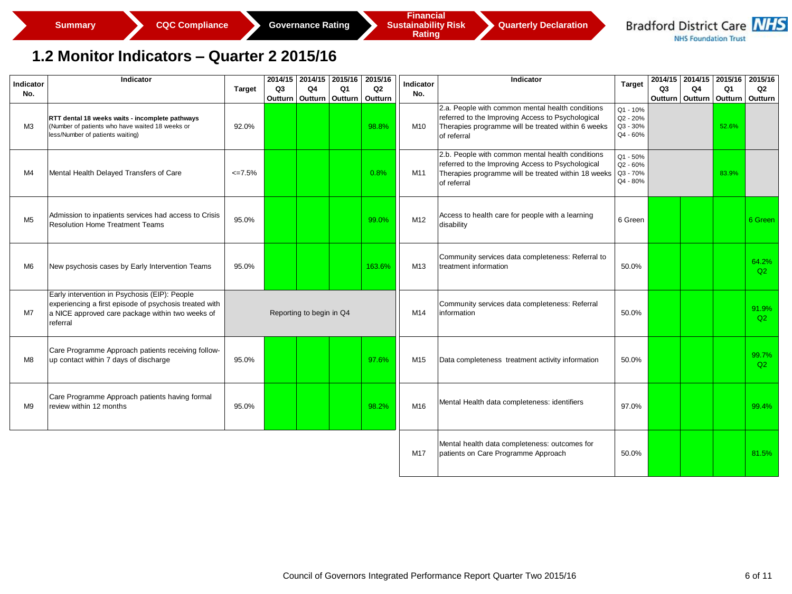

### **1.2 Monitor Indicators – Quarter 2 2015/16**

| Indicator<br>No. | Indicator                                                                                                                                                               | <b>Target</b> | Q3 | Q4                       | 2014/15 2014/15 2015/16<br>Q1 | 2015/16<br>Q <sub>2</sub> | Indicator<br>No. | Indicator                                                                                                                                                                   | <b>Target</b>                                | Q3                | Q4 | 2014/15 2014/15 2015/16 2015/16<br>Q1 | Q <sub>2</sub> |
|------------------|-------------------------------------------------------------------------------------------------------------------------------------------------------------------------|---------------|----|--------------------------|-------------------------------|---------------------------|------------------|-----------------------------------------------------------------------------------------------------------------------------------------------------------------------------|----------------------------------------------|-------------------|----|---------------------------------------|----------------|
|                  |                                                                                                                                                                         |               |    | Outturn   Outturn        | Outturn                       | Outturn                   |                  |                                                                                                                                                                             |                                              | Outturn   Outturn |    | Outturn                               | Outturn        |
| MЗ               | RTT dental 18 weeks waits - incomplete pathways<br>Number of patients who have waited 18 weeks or<br>less/Number of patients waiting)                                   | 92.0%         |    |                          |                               | 98.8%                     | M10              | 2.a. People with common mental health conditions<br>referred to the Improving Access to Psychological<br>Therapies programme will be treated within 6 weeks<br>of referral  | Q1 - 10%<br>Q2 - 20%<br>Q3 - 30%<br>Q4 - 60% |                   |    | 52.6%                                 |                |
| M4               | Mental Health Delayed Transfers of Care                                                                                                                                 | $\leq 7.5\%$  |    |                          |                               | 0.8%                      | M11              | 2.b. People with common mental health conditions<br>referred to the Improving Access to Psychological<br>Therapies programme will be treated within 18 weeks<br>of referral | Q1 - 50%<br>Q2 - 60%<br>Q3 - 70%<br>Q4 - 80% |                   |    | 83.9%                                 |                |
| M <sub>5</sub>   | Admission to inpatients services had access to Crisis<br><b>Resolution Home Treatment Teams</b>                                                                         | 95.0%         |    |                          |                               | 99.0%                     | M12              | Access to health care for people with a learning<br>disability                                                                                                              | 6 Green                                      |                   |    |                                       | 6 Green        |
| M <sub>6</sub>   | New psychosis cases by Early Intervention Teams                                                                                                                         | 95.0%         |    |                          |                               | 163.6%                    | M13              | Community services data completeness: Referral to<br>treatment information                                                                                                  | 50.0%                                        |                   |    |                                       | 64.2%<br>Q2    |
| M7               | Early intervention in Psychosis (EIP): People<br>experiencing a first episode of psychosis treated with<br>a NICE approved care package within two weeks of<br>referral |               |    | Reporting to begin in Q4 |                               |                           | M14              | Community services data completeness: Referral<br>linformation                                                                                                              | 50.0%                                        |                   |    |                                       | 91.9%<br>Q2    |
| M8               | Care Programme Approach patients receiving follow-<br>up contact within 7 days of discharge                                                                             | 95.0%         |    |                          |                               | 97.6%                     | M15              | Data completeness treatment activity information                                                                                                                            | 50.0%                                        |                   |    |                                       | 99.7%<br>Q2    |
| M <sub>9</sub>   | Care Programme Approach patients having formal<br>review within 12 months                                                                                               | 95.0%         |    |                          |                               | 98.2%                     | M16              | Mental Health data completeness: identifiers                                                                                                                                | 97.0%                                        |                   |    |                                       | 99.4%          |
|                  |                                                                                                                                                                         |               |    |                          |                               |                           | M17              | Mental health data completeness: outcomes for<br>patients on Care Programme Approach                                                                                        | 50.0%                                        |                   |    |                                       | 81.5%          |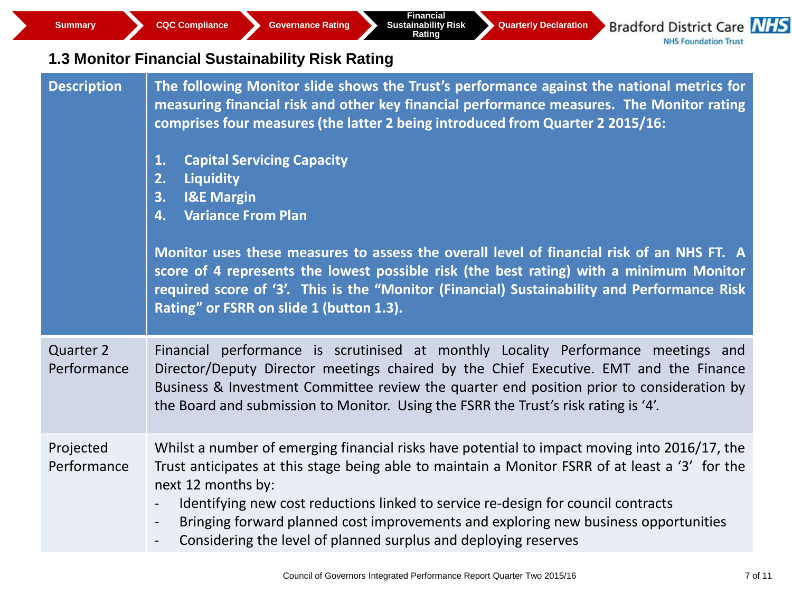**Summary CQC Compliance Governance Rating** 

**Financial Sustainability Risk Rating** 

**Quarterly Declaration**

**Bradford District Care NHS NHS Foundation Trust** 

### **1.3 Monitor Financial Sustainability Risk Rating**

| <b>Description</b>       | The following Monitor slide shows the Trust's performance against the national metrics for<br>measuring financial risk and other key financial performance measures. The Monitor rating<br>comprises four measures (the latter 2 being introduced from Quarter 2 2015/16:<br><b>Capital Servicing Capacity</b><br>1.<br><b>Liquidity</b><br>2.<br><b>I&amp;E Margin</b><br>3.<br><b>Variance From Plan</b><br>4.<br>Monitor uses these measures to assess the overall level of financial risk of an NHS FT. A<br>score of 4 represents the lowest possible risk (the best rating) with a minimum Monitor<br>required score of '3'. This is the "Monitor (Financial) Sustainability and Performance Risk<br>Rating" or FSRR on slide 1 (button 1.3). |
|--------------------------|-----------------------------------------------------------------------------------------------------------------------------------------------------------------------------------------------------------------------------------------------------------------------------------------------------------------------------------------------------------------------------------------------------------------------------------------------------------------------------------------------------------------------------------------------------------------------------------------------------------------------------------------------------------------------------------------------------------------------------------------------------|
| Quarter 2<br>Performance | Financial performance is scrutinised at monthly Locality Performance meetings and<br>Director/Deputy Director meetings chaired by the Chief Executive. EMT and the Finance<br>Business & Investment Committee review the quarter end position prior to consideration by<br>the Board and submission to Monitor. Using the FSRR the Trust's risk rating is '4'.                                                                                                                                                                                                                                                                                                                                                                                      |
| Projected<br>Performance | Whilst a number of emerging financial risks have potential to impact moving into 2016/17, the<br>Trust anticipates at this stage being able to maintain a Monitor FSRR of at least a '3' for the<br>next 12 months by:<br>Identifying new cost reductions linked to service re-design for council contracts<br>Bringing forward planned cost improvements and exploring new business opportunities<br>$\overline{\phantom{a}}$<br>Considering the level of planned surplus and deploying reserves<br>$\overline{\phantom{0}}$                                                                                                                                                                                                                       |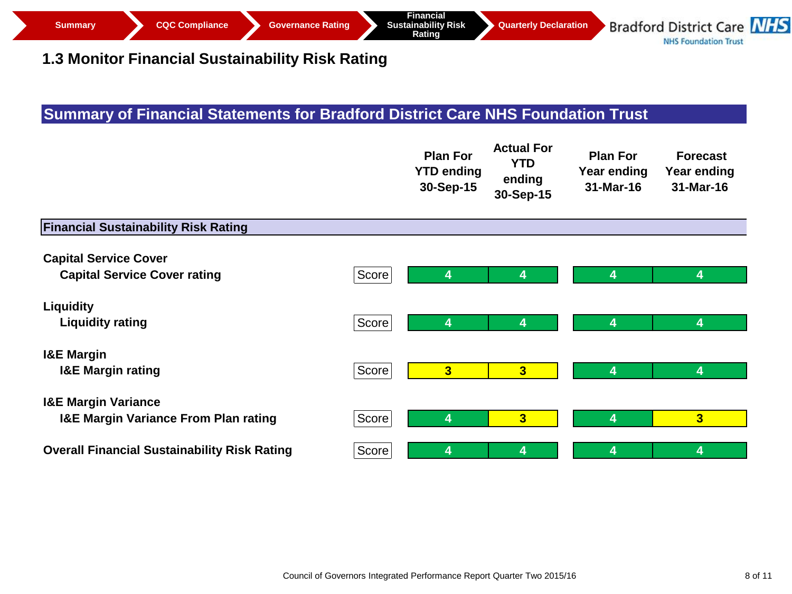#### **1.3 Monitor Financial Sustainability Risk Rating**

### **Summary of Financial Statements for Bradford District Care NHS Foundation Trust**

|                                                     |       | <b>Plan For</b><br><b>YTD ending</b><br>30-Sep-15 | <b>Actual For</b><br><b>YTD</b><br>ending<br>30-Sep-15 | <b>Plan For</b><br><b>Year ending</b><br>31-Mar-16 | <b>Forecast</b><br><b>Year ending</b><br>31-Mar-16 |
|-----------------------------------------------------|-------|---------------------------------------------------|--------------------------------------------------------|----------------------------------------------------|----------------------------------------------------|
| <b>Financial Sustainability Risk Rating</b>         |       |                                                   |                                                        |                                                    |                                                    |
| <b>Capital Service Cover</b>                        |       |                                                   |                                                        |                                                    |                                                    |
| <b>Capital Service Cover rating</b>                 | Score | 4                                                 | 4                                                      | 4                                                  | 4                                                  |
| <b>Liquidity</b>                                    |       |                                                   |                                                        |                                                    |                                                    |
| <b>Liquidity rating</b>                             | Score | 4                                                 | 4                                                      | 4                                                  | 4                                                  |
| <b>I&amp;E Margin</b>                               |       |                                                   |                                                        |                                                    |                                                    |
| <b>I&amp;E Margin rating</b>                        | Score | 3                                                 | 3 <sup>1</sup>                                         | 4                                                  | 4                                                  |
| <b>I&amp;E Margin Variance</b>                      |       |                                                   |                                                        |                                                    |                                                    |
| <b>I&amp;E Margin Variance From Plan rating</b>     | Score | 4                                                 | 3                                                      | 4                                                  | $\overline{\mathbf{3}}$                            |
| <b>Overall Financial Sustainability Risk Rating</b> | Score | 4                                                 | 4                                                      | 4                                                  | 4                                                  |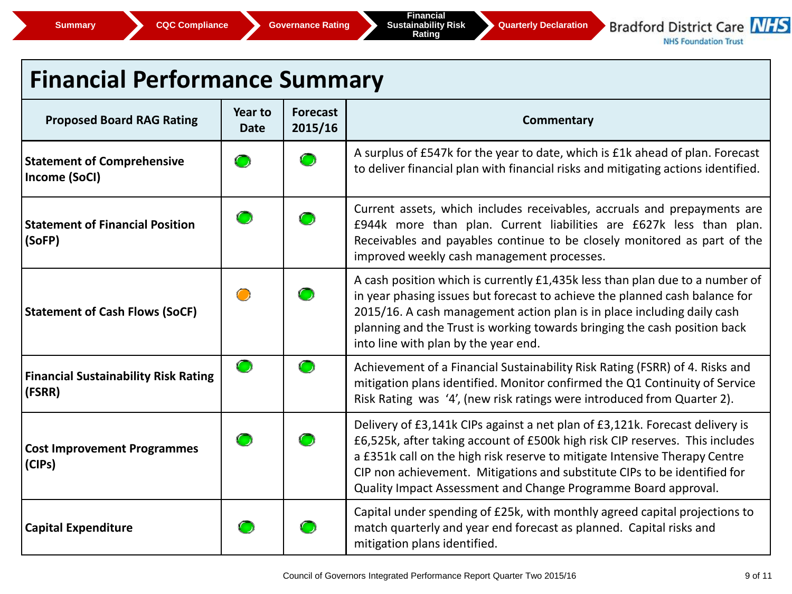

**NHS Foundation Trust** 

## **Financial Performance Summary**

| <b>Proposed Board RAG Rating</b>                      | <b>Year to</b><br><b>Date</b> | <b>Forecast</b><br>2015/16 | <b>Commentary</b>                                                                                                                                                                                                                                                                                                                                                                         |
|-------------------------------------------------------|-------------------------------|----------------------------|-------------------------------------------------------------------------------------------------------------------------------------------------------------------------------------------------------------------------------------------------------------------------------------------------------------------------------------------------------------------------------------------|
| <b>Statement of Comprehensive</b><br>Income (SoCI)    | $\bullet$                     |                            | A surplus of £547k for the year to date, which is £1k ahead of plan. Forecast<br>to deliver financial plan with financial risks and mitigating actions identified.                                                                                                                                                                                                                        |
| <b>Statement of Financial Position</b><br>(SoFP)      | O                             | $\blacksquare$             | Current assets, which includes receivables, accruals and prepayments are<br>£944k more than plan. Current liabilities are £627k less than plan.<br>Receivables and payables continue to be closely monitored as part of the<br>improved weekly cash management processes.                                                                                                                 |
| <b>Statement of Cash Flows (SoCF)</b>                 | $\bigcirc$                    |                            | A cash position which is currently £1,435k less than plan due to a number of<br>in year phasing issues but forecast to achieve the planned cash balance for<br>2015/16. A cash management action plan is in place including daily cash<br>planning and the Trust is working towards bringing the cash position back<br>into line with plan by the year end.                               |
| <b>Financial Sustainability Risk Rating</b><br>(FSRR) | $\bigcirc$                    | $\bullet$                  | Achievement of a Financial Sustainability Risk Rating (FSRR) of 4. Risks and<br>mitigation plans identified. Monitor confirmed the Q1 Continuity of Service<br>Risk Rating was '4', (new risk ratings were introduced from Quarter 2).                                                                                                                                                    |
| <b>Cost Improvement Programmes</b><br>(CIPs)          | O                             |                            | Delivery of £3,141k CIPs against a net plan of £3,121k. Forecast delivery is<br>£6,525k, after taking account of £500k high risk CIP reserves. This includes<br>a £351k call on the high risk reserve to mitigate Intensive Therapy Centre<br>CIP non achievement. Mitigations and substitute CIPs to be identified for<br>Quality Impact Assessment and Change Programme Board approval. |
| <b>Capital Expenditure</b>                            |                               |                            | Capital under spending of £25k, with monthly agreed capital projections to<br>match quarterly and year end forecast as planned. Capital risks and<br>mitigation plans identified.                                                                                                                                                                                                         |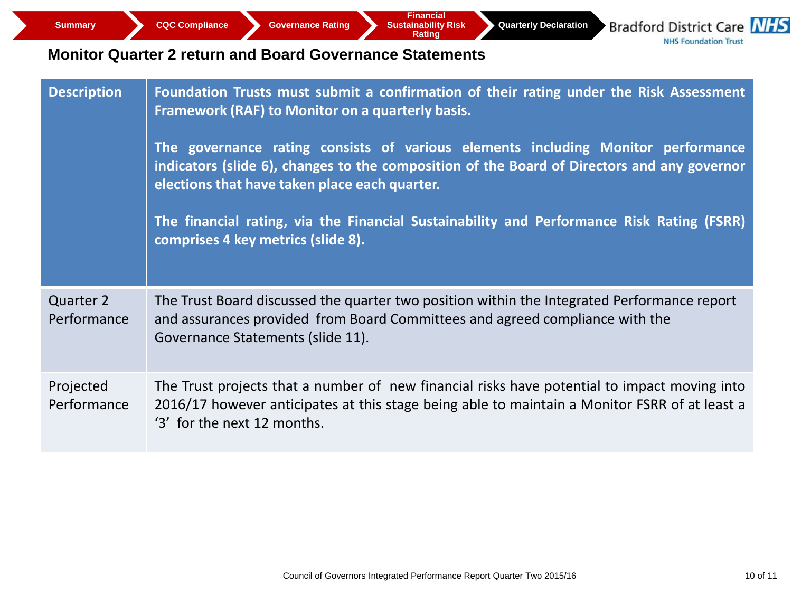**Quarterly Declaration**

**Bradford District Care NHS NHS Foundation Trust** 

#### **Monitor Quarter 2 return and Board Governance Statements**

| <b>Description</b>              | Foundation Trusts must submit a confirmation of their rating under the Risk Assessment<br>Framework (RAF) to Monitor on a quarterly basis.<br>The governance rating consists of various elements including Monitor performance<br>indicators (slide 6), changes to the composition of the Board of Directors and any governor<br>elections that have taken place each quarter.<br>The financial rating, via the Financial Sustainability and Performance Risk Rating (FSRR)<br>comprises 4 key metrics (slide 8). |
|---------------------------------|-------------------------------------------------------------------------------------------------------------------------------------------------------------------------------------------------------------------------------------------------------------------------------------------------------------------------------------------------------------------------------------------------------------------------------------------------------------------------------------------------------------------|
| <b>Quarter 2</b><br>Performance | The Trust Board discussed the quarter two position within the Integrated Performance report<br>and assurances provided from Board Committees and agreed compliance with the<br>Governance Statements (slide 11).                                                                                                                                                                                                                                                                                                  |
| Projected<br>Performance        | The Trust projects that a number of new financial risks have potential to impact moving into<br>2016/17 however anticipates at this stage being able to maintain a Monitor FSRR of at least a<br>'3' for the next 12 months.                                                                                                                                                                                                                                                                                      |